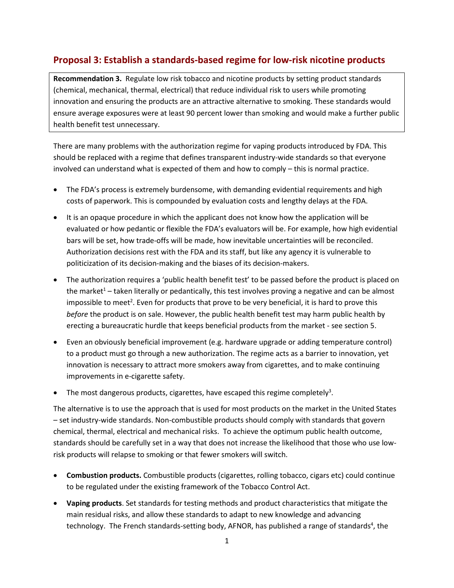## **Proposal 3: Establish a standards-based regime for low-risk nicotine products**

**Recommendation 3.** Regulate low risk tobacco and nicotine products by setting product standards (chemical, mechanical, thermal, electrical) that reduce individual risk to users while promoting innovation and ensuring the products are an attractive alternative to smoking. These standards would ensure average exposures were at least 90 percent lower than smoking and would make a further public health benefit test unnecessary.

There are many problems with the authorization regime for vaping products introduced by FDA. This should be replaced with a regime that defines transparent industry-wide standards so that everyone involved can understand what is expected of them and how to comply – this is normal practice.

- The FDA's process is extremely burdensome, with demanding evidential requirements and high costs of paperwork. This is compounded by evaluation costs and lengthy delays at the FDA.
- It is an opaque procedure in which the applicant does not know how the application will be evaluated or how pedantic or flexible the FDA's evaluators will be. For example, how high evidential bars will be set, how trade-offs will be made, how inevitable uncertainties will be reconciled. Authorization decisions rest with the FDA and its staff, but like any agency it is vulnerable to politicization of its decision-making and the biases of its decision-makers.
- The authorization requires a 'public health benefit test' to be passed before the product is placed on the market<sup>1</sup> – taken literally or pedantically, this test involves proving a negative and can be almost impossible to meet<sup>2</sup>. Even for products that prove to be very beneficial, it is hard to prove this *before* the product is on sale. However, the public health benefit test may harm public health by erecting a bureaucratic hurdle that keeps beneficial products from the market - see section 5.
- Even an obviously beneficial improvement (e.g. hardware upgrade or adding temperature control) to a product must go through a new authorization. The regime acts as a barrier to innovation, yet innovation is necessary to attract more smokers away from cigarettes, and to make continuing improvements in e-cigarette safety.
- The most dangerous products, cigarettes, have escaped this regime completely<sup>3</sup>.

The alternative is to use the approach that is used for most products on the market in the United States – set industry-wide standards. Non-combustible products should comply with standards that govern chemical, thermal, electrical and mechanical risks. To achieve the optimum public health outcome, standards should be carefully set in a way that does not increase the likelihood that those who use lowrisk products will relapse to smoking or that fewer smokers will switch.

- **Combustion products.** Combustible products (cigarettes, rolling tobacco, cigars etc) could continue to be regulated under the existing framework of the Tobacco Control Act.
- **Vaping products**. Set standards for testing methods and product characteristics that mitigate the main residual risks, and allow these standards to adapt to new knowledge and advancing technology. The French standards-setting body, AFNOR, has published a range of standards<sup>4</sup>, the